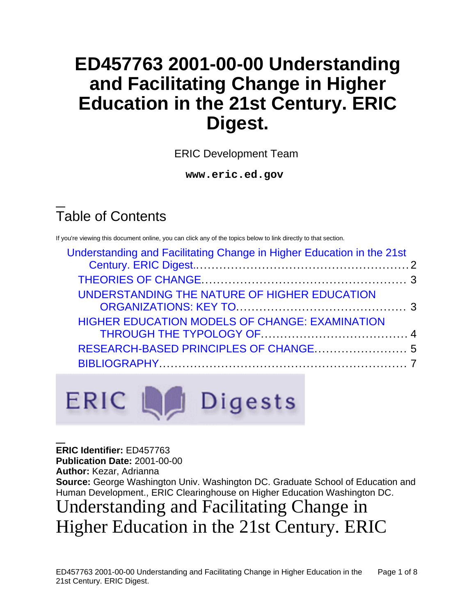# **ED457763 2001-00-00 Understanding and Facilitating Change in Higher Education in the 21st Century. ERIC Digest.**

ERIC Development Team

**www.eric.ed.gov**

# Table of Contents

If you're viewing this document online, you can click any of the topics below to link directly to that section.

| Understanding and Facilitating Change in Higher Education in the 21st |  |
|-----------------------------------------------------------------------|--|
|                                                                       |  |
| UNDERSTANDING THE NATURE OF HIGHER EDUCATION                          |  |
| <b>HIGHER EDUCATION MODELS OF CHANGE: EXAMINATION</b>                 |  |
|                                                                       |  |
|                                                                       |  |

ERIC La Digests

**ERIC Identifier:** ED457763 **Publication Date:** 2001-00-00 **Author:** Kezar, Adrianna **Source:** George Washington Univ. Washington DC. Graduate School of Education and Human Development., ERIC Clearinghouse on Higher Education Washington DC.

# Understanding and Facilitating Change in Higher Education in the 21st Century. ERIC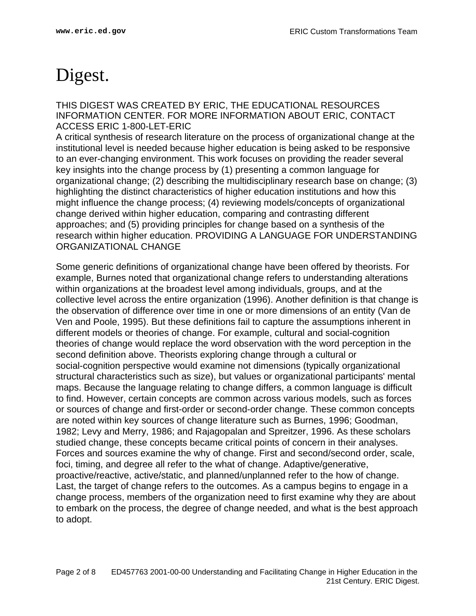# <span id="page-1-0"></span>Digest.

THIS DIGEST WAS CREATED BY ERIC, THE EDUCATIONAL RESOURCES INFORMATION CENTER. FOR MORE INFORMATION ABOUT ERIC, CONTACT ACCESS ERIC 1-800-LET-ERIC

A critical synthesis of research literature on the process of organizational change at the institutional level is needed because higher education is being asked to be responsive to an ever-changing environment. This work focuses on providing the reader several key insights into the change process by (1) presenting a common language for organizational change; (2) describing the multidisciplinary research base on change; (3) highlighting the distinct characteristics of higher education institutions and how this might influence the change process; (4) reviewing models/concepts of organizational change derived within higher education, comparing and contrasting different approaches; and (5) providing principles for change based on a synthesis of the research within higher education. PROVIDING A LANGUAGE FOR UNDERSTANDING ORGANIZATIONAL CHANGE

Some generic definitions of organizational change have been offered by theorists. For example, Burnes noted that organizational change refers to understanding alterations within organizations at the broadest level among individuals, groups, and at the collective level across the entire organization (1996). Another definition is that change is the observation of difference over time in one or more dimensions of an entity (Van de Ven and Poole, 1995). But these definitions fail to capture the assumptions inherent in different models or theories of change. For example, cultural and social-cognition theories of change would replace the word observation with the word perception in the second definition above. Theorists exploring change through a cultural or social-cognition perspective would examine not dimensions (typically organizational structural characteristics such as size), but values or organizational participants' mental maps. Because the language relating to change differs, a common language is difficult to find. However, certain concepts are common across various models, such as forces or sources of change and first-order or second-order change. These common concepts are noted within key sources of change literature such as Burnes, 1996; Goodman, 1982; Levy and Merry, 1986; and Rajagopalan and Spreitzer, 1996. As these scholars studied change, these concepts became critical points of concern in their analyses. Forces and sources examine the why of change. First and second/second order, scale, foci, timing, and degree all refer to the what of change. Adaptive/generative, proactive/reactive, active/static, and planned/unplanned refer to the how of change. Last, the target of change refers to the outcomes. As a campus begins to engage in a change process, members of the organization need to first examine why they are about to embark on the process, the degree of change needed, and what is the best approach to adopt.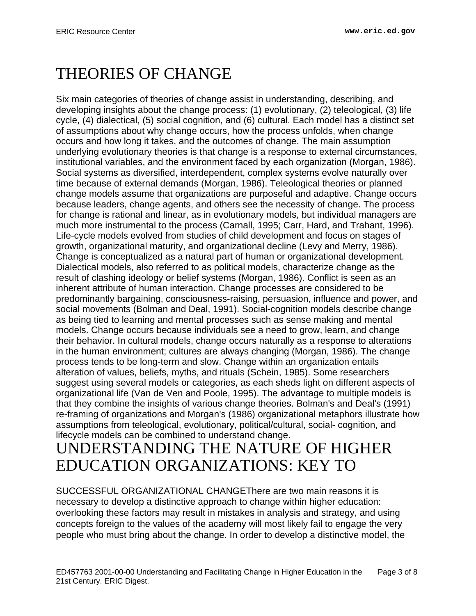# <span id="page-2-0"></span>THEORIES OF CHANGE

Six main categories of theories of change assist in understanding, describing, and developing insights about the change process: (1) evolutionary, (2) teleological, (3) life cycle, (4) dialectical, (5) social cognition, and (6) cultural. Each model has a distinct set of assumptions about why change occurs, how the process unfolds, when change occurs and how long it takes, and the outcomes of change. The main assumption underlying evolutionary theories is that change is a response to external circumstances, institutional variables, and the environment faced by each organization (Morgan, 1986). Social systems as diversified, interdependent, complex systems evolve naturally over time because of external demands (Morgan, 1986). Teleological theories or planned change models assume that organizations are purposeful and adaptive. Change occurs because leaders, change agents, and others see the necessity of change. The process for change is rational and linear, as in evolutionary models, but individual managers are much more instrumental to the process (Carnall, 1995; Carr, Hard, and Trahant, 1996). Life-cycle models evolved from studies of child development and focus on stages of growth, organizational maturity, and organizational decline (Levy and Merry, 1986). Change is conceptualized as a natural part of human or organizational development. Dialectical models, also referred to as political models, characterize change as the result of clashing ideology or belief systems (Morgan, 1986). Conflict is seen as an inherent attribute of human interaction. Change processes are considered to be predominantly bargaining, consciousness-raising, persuasion, influence and power, and social movements (Bolman and Deal, 1991). Social-cognition models describe change as being tied to learning and mental processes such as sense making and mental models. Change occurs because individuals see a need to grow, learn, and change their behavior. In cultural models, change occurs naturally as a response to alterations in the human environment; cultures are always changing (Morgan, 1986). The change process tends to be long-term and slow. Change within an organization entails alteration of values, beliefs, myths, and rituals (Schein, 1985). Some researchers suggest using several models or categories, as each sheds light on different aspects of organizational life (Van de Ven and Poole, 1995). The advantage to multiple models is that they combine the insights of various change theories. Bolman's and Deal's (1991) re-framing of organizations and Morgan's (1986) organizational metaphors illustrate how assumptions from teleological, evolutionary, political/cultural, social- cognition, and lifecycle models can be combined to understand change.

## <span id="page-2-1"></span>UNDERSTANDING THE NATURE OF HIGHER EDUCATION ORGANIZATIONS: KEY TO

SUCCESSFUL ORGANIZATIONAL CHANGEThere are two main reasons it is necessary to develop a distinctive approach to change within higher education: overlooking these factors may result in mistakes in analysis and strategy, and using concepts foreign to the values of the academy will most likely fail to engage the very people who must bring about the change. In order to develop a distinctive model, the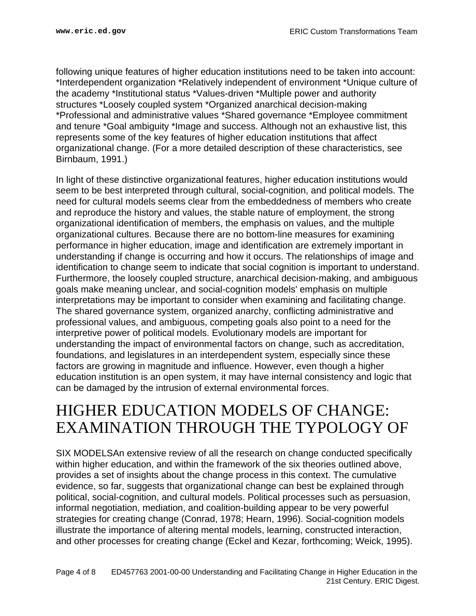following unique features of higher education institutions need to be taken into account: \*Interdependent organization \*Relatively independent of environment \*Unique culture of the academy \*Institutional status \*Values-driven \*Multiple power and authority structures \*Loosely coupled system \*Organized anarchical decision-making \*Professional and administrative values \*Shared governance \*Employee commitment and tenure \*Goal ambiguity \*Image and success. Although not an exhaustive list, this represents some of the key features of higher education institutions that affect organizational change. (For a more detailed description of these characteristics, see Birnbaum, 1991.)

In light of these distinctive organizational features, higher education institutions would seem to be best interpreted through cultural, social-cognition, and political models. The need for cultural models seems clear from the embeddedness of members who create and reproduce the history and values, the stable nature of employment, the strong organizational identification of members, the emphasis on values, and the multiple organizational cultures. Because there are no bottom-line measures for examining performance in higher education, image and identification are extremely important in understanding if change is occurring and how it occurs. The relationships of image and identification to change seem to indicate that social cognition is important to understand. Furthermore, the loosely coupled structure, anarchical decision-making, and ambiguous goals make meaning unclear, and social-cognition models' emphasis on multiple interpretations may be important to consider when examining and facilitating change. The shared governance system, organized anarchy, conflicting administrative and professional values, and ambiguous, competing goals also point to a need for the interpretive power of political models. Evolutionary models are important for understanding the impact of environmental factors on change, such as accreditation, foundations, and legislatures in an interdependent system, especially since these factors are growing in magnitude and influence. However, even though a higher education institution is an open system, it may have internal consistency and logic that can be damaged by the intrusion of external environmental forces.

## <span id="page-3-0"></span>HIGHER EDUCATION MODELS OF CHANGE: EXAMINATION THROUGH THE TYPOLOGY OF

SIX MODELSAn extensive review of all the research on change conducted specifically within higher education, and within the framework of the six theories outlined above, provides a set of insights about the change process in this context. The cumulative evidence, so far, suggests that organizational change can best be explained through political, social-cognition, and cultural models. Political processes such as persuasion, informal negotiation, mediation, and coalition-building appear to be very powerful strategies for creating change (Conrad, 1978; Hearn, 1996). Social-cognition models illustrate the importance of altering mental models, learning, constructed interaction, and other processes for creating change (Eckel and Kezar, forthcoming; Weick, 1995).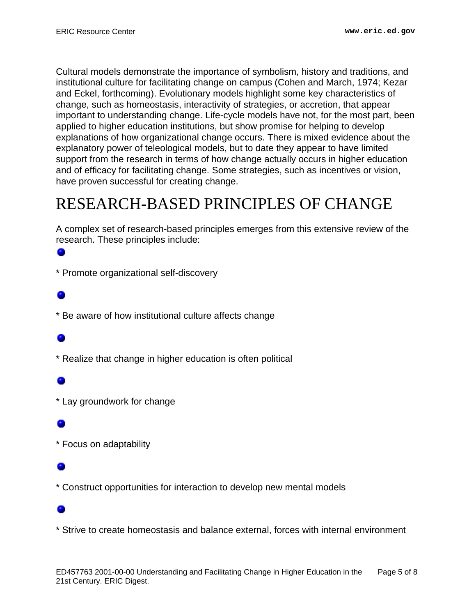Cultural models demonstrate the importance of symbolism, history and traditions, and institutional culture for facilitating change on campus (Cohen and March, 1974; Kezar and Eckel, forthcoming). Evolutionary models highlight some key characteristics of change, such as homeostasis, interactivity of strategies, or accretion, that appear important to understanding change. Life-cycle models have not, for the most part, been applied to higher education institutions, but show promise for helping to develop explanations of how organizational change occurs. There is mixed evidence about the explanatory power of teleological models, but to date they appear to have limited support from the research in terms of how change actually occurs in higher education and of efficacy for facilitating change. Some strategies, such as incentives or vision, have proven successful for creating change.

# <span id="page-4-0"></span>RESEARCH-BASED PRINCIPLES OF CHANGE

A complex set of research-based principles emerges from this extensive review of the research. These principles include:

### ۰

\* Promote organizational self-discovery

\* Be aware of how institutional culture affects change

\* Realize that change in higher education is often political

\* Lay groundwork for change

\* Focus on adaptability

\* Construct opportunities for interaction to develop new mental models

\* Strive to create homeostasis and balance external, forces with internal environment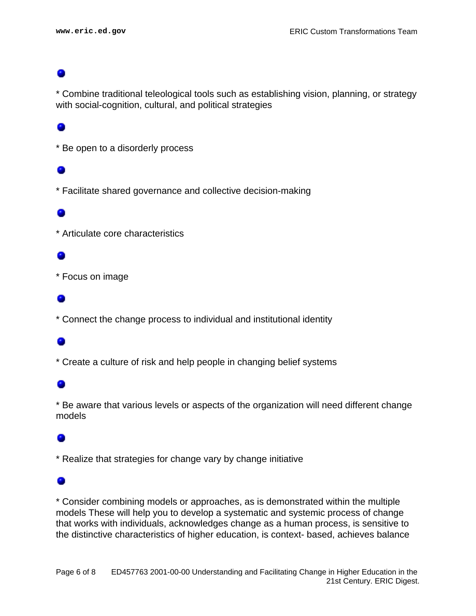\* Combine traditional teleological tools such as establishing vision, planning, or strategy with social-cognition, cultural, and political strategies

\* Be open to a disorderly process

## ۰

\* Facilitate shared governance and collective decision-making

\* Articulate core characteristics

\* Focus on image

\* Connect the change process to individual and institutional identity

\* Create a culture of risk and help people in changing belief systems

## ۰

\* Be aware that various levels or aspects of the organization will need different change models

\* Realize that strategies for change vary by change initiative

### ۰

\* Consider combining models or approaches, as is demonstrated within the multiple models These will help you to develop a systematic and systemic process of change that works with individuals, acknowledges change as a human process, is sensitive to the distinctive characteristics of higher education, is context- based, achieves balance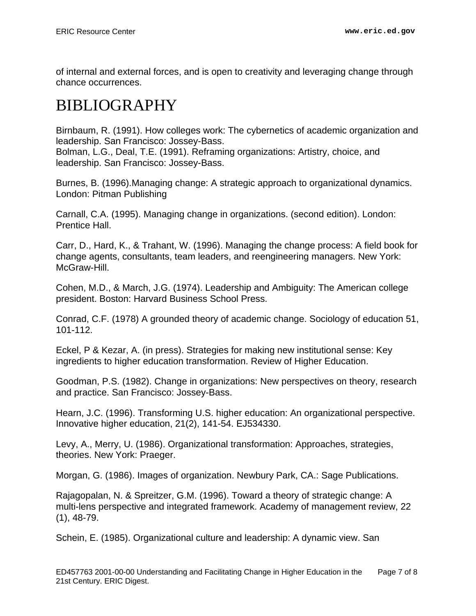of internal and external forces, and is open to creativity and leveraging change through chance occurrences.

# <span id="page-6-0"></span>BIBLIOGRAPHY

Birnbaum, R. (1991). How colleges work: The cybernetics of academic organization and leadership. San Francisco: Jossey-Bass.

Bolman, L.G., Deal, T.E. (1991). Reframing organizations: Artistry, choice, and leadership. San Francisco: Jossey-Bass.

Burnes, B. (1996).Managing change: A strategic approach to organizational dynamics. London: Pitman Publishing

Carnall, C.A. (1995). Managing change in organizations. (second edition). London: Prentice Hall.

Carr, D., Hard, K., & Trahant, W. (1996). Managing the change process: A field book for change agents, consultants, team leaders, and reengineering managers. New York: McGraw-Hill.

Cohen, M.D., & March, J.G. (1974). Leadership and Ambiguity: The American college president. Boston: Harvard Business School Press.

Conrad, C.F. (1978) A grounded theory of academic change. Sociology of education 51, 101-112.

Eckel, P & Kezar, A. (in press). Strategies for making new institutional sense: Key ingredients to higher education transformation. Review of Higher Education.

Goodman, P.S. (1982). Change in organizations: New perspectives on theory, research and practice. San Francisco: Jossey-Bass.

Hearn, J.C. (1996). Transforming U.S. higher education: An organizational perspective. Innovative higher education, 21(2), 141-54. EJ534330.

Levy, A., Merry, U. (1986). Organizational transformation: Approaches, strategies, theories. New York: Praeger.

Morgan, G. (1986). Images of organization. Newbury Park, CA.: Sage Publications.

Rajagopalan, N. & Spreitzer, G.M. (1996). Toward a theory of strategic change: A multi-lens perspective and integrated framework. Academy of management review, 22 (1), 48-79.

Schein, E. (1985). Organizational culture and leadership: A dynamic view. San